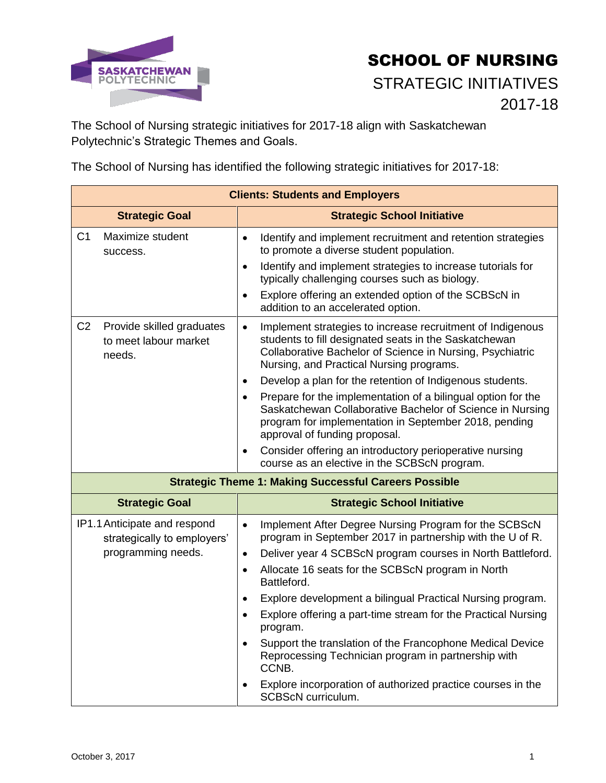

## SCHOOL OF NURSING STRATEGIC INITIATIVES 2017-18

The School of Nursing strategic initiatives for 2017-18 align with Saskatchewan Polytechnic's Strategic Themes and Goals.

The School of Nursing has identified the following strategic initiatives for 2017-18:

| <b>Clients: Students and Employers</b>                                            |                                                                                                                                                                                                                                                                                                                                                                                                                                                                                                                                                                                                                                                                                                 |
|-----------------------------------------------------------------------------------|-------------------------------------------------------------------------------------------------------------------------------------------------------------------------------------------------------------------------------------------------------------------------------------------------------------------------------------------------------------------------------------------------------------------------------------------------------------------------------------------------------------------------------------------------------------------------------------------------------------------------------------------------------------------------------------------------|
| <b>Strategic Goal</b>                                                             | <b>Strategic School Initiative</b>                                                                                                                                                                                                                                                                                                                                                                                                                                                                                                                                                                                                                                                              |
| C <sub>1</sub><br>Maximize student<br>success.                                    | Identify and implement recruitment and retention strategies<br>$\bullet$<br>to promote a diverse student population.<br>Identify and implement strategies to increase tutorials for<br>$\bullet$<br>typically challenging courses such as biology.<br>Explore offering an extended option of the SCBScN in<br>$\bullet$<br>addition to an accelerated option.                                                                                                                                                                                                                                                                                                                                   |
| C <sub>2</sub><br>Provide skilled graduates<br>to meet labour market<br>needs.    | Implement strategies to increase recruitment of Indigenous<br>$\bullet$<br>students to fill designated seats in the Saskatchewan<br>Collaborative Bachelor of Science in Nursing, Psychiatric<br>Nursing, and Practical Nursing programs.<br>Develop a plan for the retention of Indigenous students.<br>$\bullet$<br>Prepare for the implementation of a bilingual option for the<br>$\bullet$<br>Saskatchewan Collaborative Bachelor of Science in Nursing<br>program for implementation in September 2018, pending<br>approval of funding proposal.<br>Consider offering an introductory perioperative nursing<br>$\bullet$<br>course as an elective in the SCBScN program.                  |
| <b>Strategic Theme 1: Making Successful Careers Possible</b>                      |                                                                                                                                                                                                                                                                                                                                                                                                                                                                                                                                                                                                                                                                                                 |
| <b>Strategic Goal</b>                                                             | <b>Strategic School Initiative</b>                                                                                                                                                                                                                                                                                                                                                                                                                                                                                                                                                                                                                                                              |
| IP1.1 Anticipate and respond<br>strategically to employers'<br>programming needs. | Implement After Degree Nursing Program for the SCBScN<br>$\bullet$<br>program in September 2017 in partnership with the U of R.<br>Deliver year 4 SCBScN program courses in North Battleford.<br>$\bullet$<br>Allocate 16 seats for the SCBScN program in North<br>$\bullet$<br>Battleford.<br>Explore development a bilingual Practical Nursing program.<br>$\bullet$<br>Explore offering a part-time stream for the Practical Nursing<br>$\bullet$<br>program.<br>Support the translation of the Francophone Medical Device<br>$\bullet$<br>Reprocessing Technician program in partnership with<br>CCNB.<br>Explore incorporation of authorized practice courses in the<br>SCBScN curriculum. |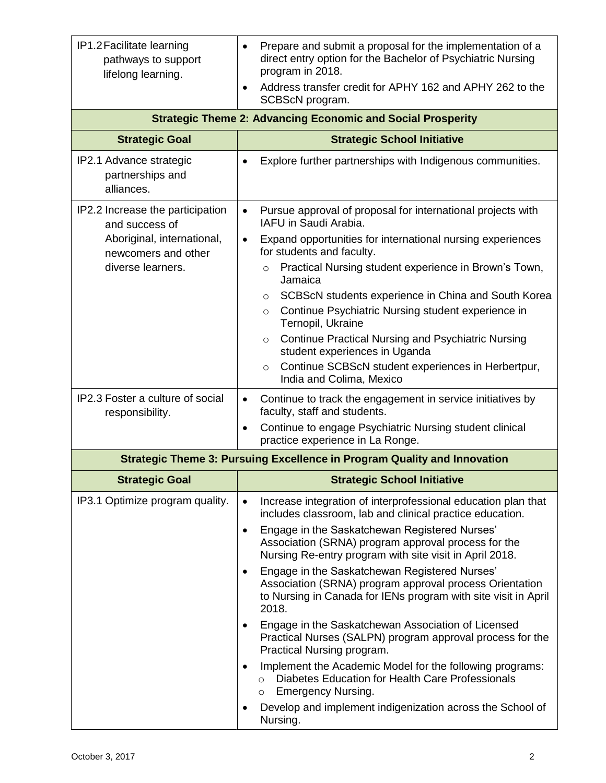| IP1.2 Facilitate learning<br>pathways to support<br>lifelong learning.                                                       | Prepare and submit a proposal for the implementation of a<br>$\bullet$<br>direct entry option for the Bachelor of Psychiatric Nursing<br>program in 2018.<br>Address transfer credit for APHY 162 and APHY 262 to the<br>$\bullet$ |
|------------------------------------------------------------------------------------------------------------------------------|------------------------------------------------------------------------------------------------------------------------------------------------------------------------------------------------------------------------------------|
|                                                                                                                              | SCBScN program.                                                                                                                                                                                                                    |
| <b>Strategic Theme 2: Advancing Economic and Social Prosperity</b>                                                           |                                                                                                                                                                                                                                    |
| <b>Strategic Goal</b>                                                                                                        | <b>Strategic School Initiative</b>                                                                                                                                                                                                 |
| IP2.1 Advance strategic<br>partnerships and<br>alliances.                                                                    | Explore further partnerships with Indigenous communities.<br>$\bullet$                                                                                                                                                             |
| IP2.2 Increase the participation<br>and success of<br>Aboriginal, international,<br>newcomers and other<br>diverse learners. | Pursue approval of proposal for international projects with<br>$\bullet$<br>IAFU in Saudi Arabia.                                                                                                                                  |
|                                                                                                                              | Expand opportunities for international nursing experiences<br>$\bullet$<br>for students and faculty.                                                                                                                               |
|                                                                                                                              | Practical Nursing student experience in Brown's Town,<br>$\circ$<br>Jamaica                                                                                                                                                        |
|                                                                                                                              | SCBScN students experience in China and South Korea<br>$\circ$                                                                                                                                                                     |
|                                                                                                                              | Continue Psychiatric Nursing student experience in<br>$\circ$<br>Ternopil, Ukraine                                                                                                                                                 |
|                                                                                                                              | <b>Continue Practical Nursing and Psychiatric Nursing</b><br>$\circ$<br>student experiences in Uganda                                                                                                                              |
|                                                                                                                              | Continue SCBScN student experiences in Herbertpur,<br>$\circ$<br>India and Colima, Mexico                                                                                                                                          |
| IP2.3 Foster a culture of social<br>responsibility.                                                                          | Continue to track the engagement in service initiatives by<br>$\bullet$<br>faculty, staff and students.                                                                                                                            |
|                                                                                                                              | Continue to engage Psychiatric Nursing student clinical<br>$\bullet$<br>practice experience in La Ronge.                                                                                                                           |
| <b>Strategic Theme 3: Pursuing Excellence in Program Quality and Innovation</b>                                              |                                                                                                                                                                                                                                    |
| <b>Strategic Goal</b>                                                                                                        | <b>Strategic School Initiative</b>                                                                                                                                                                                                 |
| IP3.1 Optimize program quality.                                                                                              | Increase integration of interprofessional education plan that<br>$\bullet$<br>includes classroom, lab and clinical practice education.                                                                                             |
|                                                                                                                              | Engage in the Saskatchewan Registered Nurses'<br>$\bullet$<br>Association (SRNA) program approval process for the<br>Nursing Re-entry program with site visit in April 2018.                                                       |
|                                                                                                                              | Engage in the Saskatchewan Registered Nurses'<br>$\bullet$<br>Association (SRNA) program approval process Orientation<br>to Nursing in Canada for IENs program with site visit in April<br>2018.                                   |
|                                                                                                                              | Engage in the Saskatchewan Association of Licensed<br>٠<br>Practical Nurses (SALPN) program approval process for the<br>Practical Nursing program.                                                                                 |
|                                                                                                                              | Implement the Academic Model for the following programs:<br>$\bullet$<br>Diabetes Education for Health Care Professionals<br>O<br><b>Emergency Nursing.</b><br>$\circ$                                                             |
|                                                                                                                              | Develop and implement indigenization across the School of<br>٠<br>Nursing.                                                                                                                                                         |